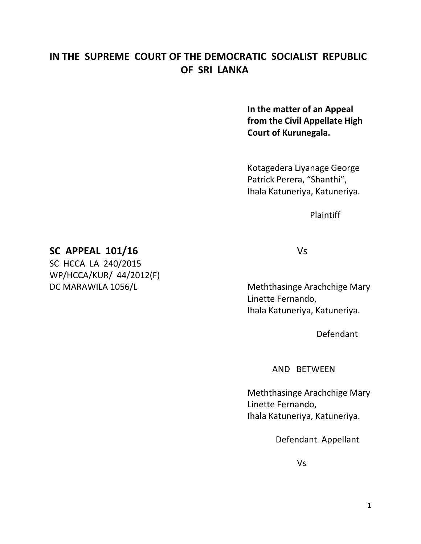# **IN THE SUPREME COURT OF THE DEMOCRATIC SOCIALIST REPUBLIC OF SRI LANKA**

**In the matter of an Appeal from the Civil Appellate High Court of Kurunegala.**

Kotagedera Liyanage George Patrick Perera, "Shanthi", Ihala Katuneriya, Katuneriya.

Plaintiff

## **SC APPEAL 101/16** Vs

SC HCCA LA 240/2015 WP/HCCA/KUR/ 44/2012(F)

DC MARAWILA 1056/L Meththasinge Arachchige Mary Linette Fernando, Ihala Katuneriya, Katuneriya.

Defendant

AND BETWEEN

Meththasinge Arachchige Mary Linette Fernando, Ihala Katuneriya, Katuneriya.

Defendant Appellant

Vs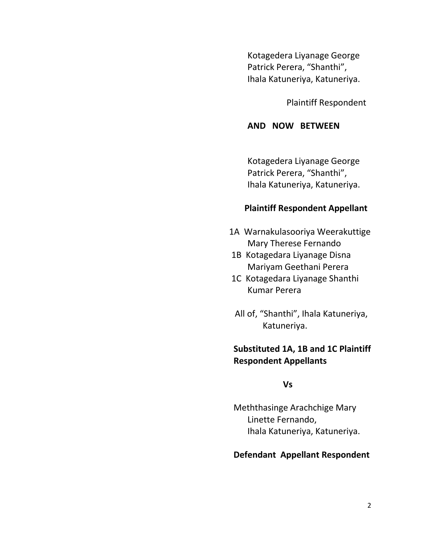Kotagedera Liyanage George Patrick Perera, "Shanthi", Ihala Katuneriya, Katuneriya.

Plaintiff Respondent

#### **AND NOW BETWEEN**

Kotagedera Liyanage George Patrick Perera, "Shanthi", Ihala Katuneriya, Katuneriya.

### **Plaintiff Respondent Appellant**

- 1A Warnakulasooriya Weerakuttige Mary Therese Fernando
- 1B Kotagedara Liyanage Disna Mariyam Geethani Perera
- 1C Kotagedara Liyanage Shanthi Kumar Perera
- All of, "Shanthi", Ihala Katuneriya, Katuneriya.

## **Substituted 1A, 1B and 1C Plaintiff Respondent Appellants**

#### **Vs**

 Meththasinge Arachchige Mary Linette Fernando, Ihala Katuneriya, Katuneriya.

## **Defendant Appellant Respondent**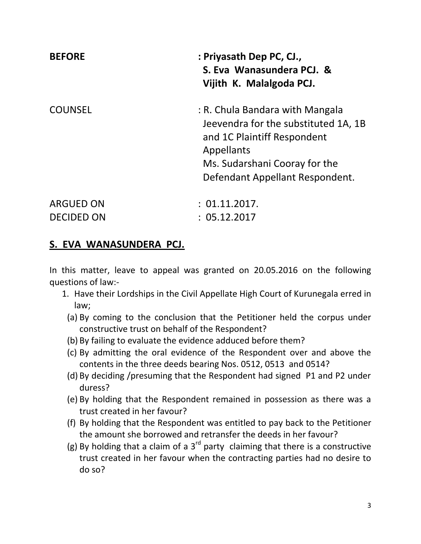| <b>BEFORE</b>  | : Priyasath Dep PC, CJ.,<br>S. Eva Wanasundera PCJ. &<br>Vijith K. Malalgoda PCJ.                                                                                                        |
|----------------|------------------------------------------------------------------------------------------------------------------------------------------------------------------------------------------|
| <b>COUNSEL</b> | : R. Chula Bandara with Mangala<br>Jeevendra for the substituted 1A, 1B<br>and 1C Plaintiff Respondent<br>Appellants<br>Ms. Sudarshani Cooray for the<br>Defendant Appellant Respondent. |
| ARGUED ON      | : 01.11.2017.                                                                                                                                                                            |

## **S. EVA WANASUNDERA PCJ.**

DECIDED ON : 05.12.2017

In this matter, leave to appeal was granted on 20.05.2016 on the following questions of law:-

- 1. Have their Lordships in the Civil Appellate High Court of Kurunegala erred in law;
	- (a) By coming to the conclusion that the Petitioner held the corpus under constructive trust on behalf of the Respondent?
	- (b) By failing to evaluate the evidence adduced before them?
	- (c) By admitting the oral evidence of the Respondent over and above the contents in the three deeds bearing Nos. 0512, 0513 and 0514?
	- (d) By deciding /presuming that the Respondent had signed P1 and P2 under duress?
	- (e) By holding that the Respondent remained in possession as there was a trust created in her favour?
	- (f) By holding that the Respondent was entitled to pay back to the Petitioner the amount she borrowed and retransfer the deeds in her favour?
	- (g) By holding that a claim of a  $3<sup>rd</sup>$  party claiming that there is a constructive trust created in her favour when the contracting parties had no desire to do so?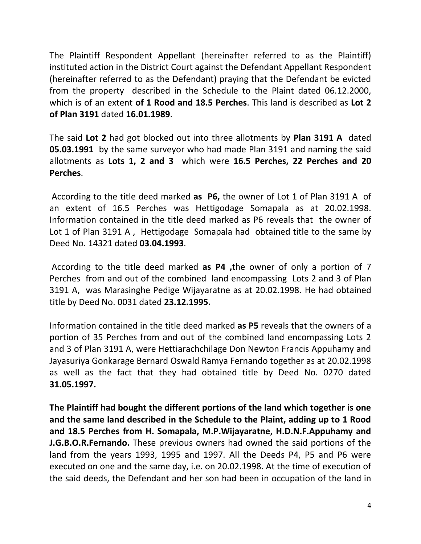The Plaintiff Respondent Appellant (hereinafter referred to as the Plaintiff) instituted action in the District Court against the Defendant Appellant Respondent (hereinafter referred to as the Defendant) praying that the Defendant be evicted from the property described in the Schedule to the Plaint dated 06.12.2000, which is of an extent **of 1 Rood and 18.5 Perches**. This land is described as **Lot 2 of Plan 3191** dated **16.01.1989**.

The said **Lot 2** had got blocked out into three allotments by **Plan 3191 A** dated **05.03.1991** by the same surveyor who had made Plan 3191 and naming the said allotments as **Lots 1, 2 and 3** which were **16.5 Perches, 22 Perches and 20 Perches**.

According to the title deed marked **as P6,** the owner of Lot 1 of Plan 3191 A of an extent of 16.5 Perches was Hettigodage Somapala as at 20.02.1998. Information contained in the title deed marked as P6 reveals that the owner of Lot 1 of Plan 3191 A , Hettigodage Somapala had obtained title to the same by Deed No. 14321 dated **03.04.1993**.

According to the title deed marked **as P4 ,**the owner of only a portion of 7 Perches from and out of the combined land encompassing Lots 2 and 3 of Plan 3191 A, was Marasinghe Pedige Wijayaratne as at 20.02.1998. He had obtained title by Deed No. 0031 dated **23.12.1995.**

Information contained in the title deed marked **as P5** reveals that the owners of a portion of 35 Perches from and out of the combined land encompassing Lots 2 and 3 of Plan 3191 A, were Hettiarachchilage Don Newton Francis Appuhamy and Jayasuriya Gonkarage Bernard Oswald Ramya Fernando together as at 20.02.1998 as well as the fact that they had obtained title by Deed No. 0270 dated **31.05.1997.**

**The Plaintiff had bought the different portions of the land which together is one and the same land described in the Schedule to the Plaint, adding up to 1 Rood and 18.5 Perches from H. Somapala, M.P.Wijayaratne, H.D.N.F.Appuhamy and J.G.B.O.R.Fernando.** These previous owners had owned the said portions of the land from the years 1993, 1995 and 1997. All the Deeds P4, P5 and P6 were executed on one and the same day, i.e. on 20.02.1998. At the time of execution of the said deeds, the Defendant and her son had been in occupation of the land in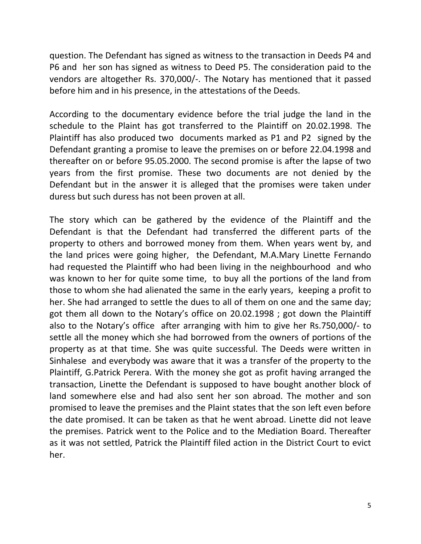question. The Defendant has signed as witness to the transaction in Deeds P4 and P6 and her son has signed as witness to Deed P5. The consideration paid to the vendors are altogether Rs. 370,000/-. The Notary has mentioned that it passed before him and in his presence, in the attestations of the Deeds.

According to the documentary evidence before the trial judge the land in the schedule to the Plaint has got transferred to the Plaintiff on 20.02.1998. The Plaintiff has also produced two documents marked as P1 and P2 signed by the Defendant granting a promise to leave the premises on or before 22.04.1998 and thereafter on or before 95.05.2000. The second promise is after the lapse of two years from the first promise. These two documents are not denied by the Defendant but in the answer it is alleged that the promises were taken under duress but such duress has not been proven at all.

The story which can be gathered by the evidence of the Plaintiff and the Defendant is that the Defendant had transferred the different parts of the property to others and borrowed money from them. When years went by, and the land prices were going higher, the Defendant, M.A.Mary Linette Fernando had requested the Plaintiff who had been living in the neighbourhood and who was known to her for quite some time, to buy all the portions of the land from those to whom she had alienated the same in the early years, keeping a profit to her. She had arranged to settle the dues to all of them on one and the same day; got them all down to the Notary's office on 20.02.1998 ; got down the Plaintiff also to the Notary's office after arranging with him to give her Rs.750,000/- to settle all the money which she had borrowed from the owners of portions of the property as at that time. She was quite successful. The Deeds were written in Sinhalese and everybody was aware that it was a transfer of the property to the Plaintiff, G.Patrick Perera. With the money she got as profit having arranged the transaction, Linette the Defendant is supposed to have bought another block of land somewhere else and had also sent her son abroad. The mother and son promised to leave the premises and the Plaint states that the son left even before the date promised. It can be taken as that he went abroad. Linette did not leave the premises. Patrick went to the Police and to the Mediation Board. Thereafter as it was not settled, Patrick the Plaintiff filed action in the District Court to evict her.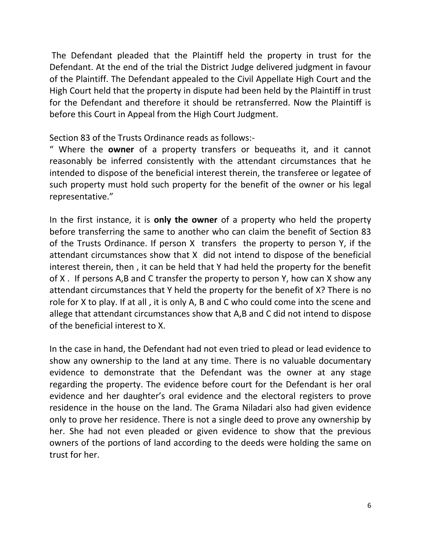The Defendant pleaded that the Plaintiff held the property in trust for the Defendant. At the end of the trial the District Judge delivered judgment in favour of the Plaintiff. The Defendant appealed to the Civil Appellate High Court and the High Court held that the property in dispute had been held by the Plaintiff in trust for the Defendant and therefore it should be retransferred. Now the Plaintiff is before this Court in Appeal from the High Court Judgment.

Section 83 of the Trusts Ordinance reads as follows:-

" Where the **owner** of a property transfers or bequeaths it, and it cannot reasonably be inferred consistently with the attendant circumstances that he intended to dispose of the beneficial interest therein, the transferee or legatee of such property must hold such property for the benefit of the owner or his legal representative."

In the first instance, it is **only the owner** of a property who held the property before transferring the same to another who can claim the benefit of Section 83 of the Trusts Ordinance. If person X transfers the property to person Y, if the attendant circumstances show that X did not intend to dispose of the beneficial interest therein, then , it can be held that Y had held the property for the benefit of X . If persons A,B and C transfer the property to person Y, how can X show any attendant circumstances that Y held the property for the benefit of X? There is no role for X to play. If at all , it is only A, B and C who could come into the scene and allege that attendant circumstances show that A,B and C did not intend to dispose of the beneficial interest to X.

In the case in hand, the Defendant had not even tried to plead or lead evidence to show any ownership to the land at any time. There is no valuable documentary evidence to demonstrate that the Defendant was the owner at any stage regarding the property. The evidence before court for the Defendant is her oral evidence and her daughter's oral evidence and the electoral registers to prove residence in the house on the land. The Grama Niladari also had given evidence only to prove her residence. There is not a single deed to prove any ownership by her. She had not even pleaded or given evidence to show that the previous owners of the portions of land according to the deeds were holding the same on trust for her.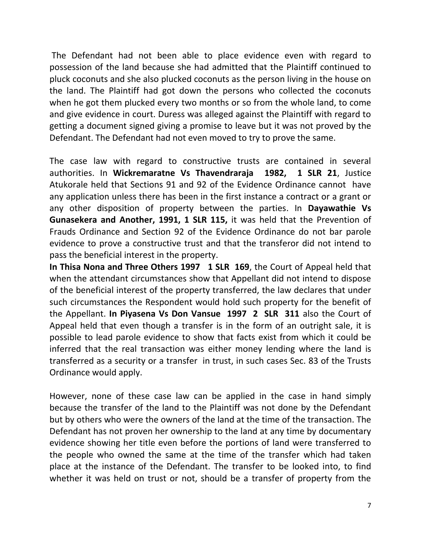The Defendant had not been able to place evidence even with regard to possession of the land because she had admitted that the Plaintiff continued to pluck coconuts and she also plucked coconuts as the person living in the house on the land. The Plaintiff had got down the persons who collected the coconuts when he got them plucked every two months or so from the whole land, to come and give evidence in court. Duress was alleged against the Plaintiff with regard to getting a document signed giving a promise to leave but it was not proved by the Defendant. The Defendant had not even moved to try to prove the same.

The case law with regard to constructive trusts are contained in several authorities. In **Wickremaratne Vs Thavendraraja 1982, 1 SLR 21**, Justice Atukorale held that Sections 91 and 92 of the Evidence Ordinance cannot have any application unless there has been in the first instance a contract or a grant or any other disposition of property between the parties. In **Dayawathie Vs Gunasekera and Another, 1991, 1 SLR 115,** it was held that the Prevention of Frauds Ordinance and Section 92 of the Evidence Ordinance do not bar parole evidence to prove a constructive trust and that the transferor did not intend to pass the beneficial interest in the property.

**In Thisa Nona and Three Others 1997 1 SLR 169**, the Court of Appeal held that when the attendant circumstances show that Appellant did not intend to dispose of the beneficial interest of the property transferred, the law declares that under such circumstances the Respondent would hold such property for the benefit of the Appellant. **In Piyasena Vs Don Vansue 1997 2 SLR 311** also the Court of Appeal held that even though a transfer is in the form of an outright sale, it is possible to lead parole evidence to show that facts exist from which it could be inferred that the real transaction was either money lending where the land is transferred as a security or a transfer in trust, in such cases Sec. 83 of the Trusts Ordinance would apply.

However, none of these case law can be applied in the case in hand simply because the transfer of the land to the Plaintiff was not done by the Defendant but by others who were the owners of the land at the time of the transaction. The Defendant has not proven her ownership to the land at any time by documentary evidence showing her title even before the portions of land were transferred to the people who owned the same at the time of the transfer which had taken place at the instance of the Defendant. The transfer to be looked into, to find whether it was held on trust or not, should be a transfer of property from the